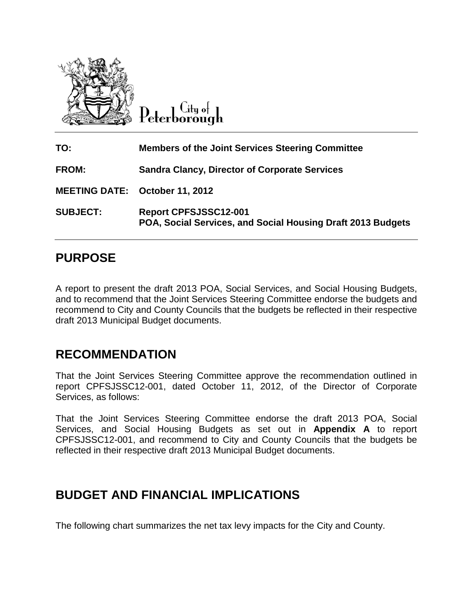

City of Peterborough

| TO:                            | <b>Members of the Joint Services Steering Committee</b>                                     |
|--------------------------------|---------------------------------------------------------------------------------------------|
| <b>FROM:</b>                   | <b>Sandra Clancy, Director of Corporate Services</b>                                        |
| MEETING DATE: October 11, 2012 |                                                                                             |
| <b>SUBJECT:</b>                | <b>Report CPFSJSSC12-001</b><br>POA, Social Services, and Social Housing Draft 2013 Budgets |

### **PURPOSE**

A report to present the draft 2013 POA, Social Services, and Social Housing Budgets, and to recommend that the Joint Services Steering Committee endorse the budgets and recommend to City and County Councils that the budgets be reflected in their respective draft 2013 Municipal Budget documents.

### **RECOMMENDATION**

That the Joint Services Steering Committee approve the recommendation outlined in report CPFSJSSC12-001, dated October 11, 2012, of the Director of Corporate Services, as follows:

That the Joint Services Steering Committee endorse the draft 2013 POA, Social Services, and Social Housing Budgets as set out in **Appendix A** to report CPFSJSSC12-001, and recommend to City and County Councils that the budgets be reflected in their respective draft 2013 Municipal Budget documents.

### **BUDGET AND FINANCIAL IMPLICATIONS**

The following chart summarizes the net tax levy impacts for the City and County.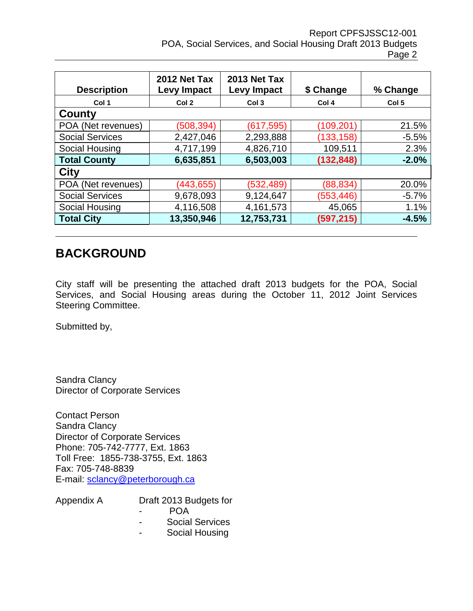| <b>Description</b>     | 2012 Net Tax<br><b>Levy Impact</b> | 2013 Net Tax<br><b>Levy Impact</b> | \$ Change  | % Change         |
|------------------------|------------------------------------|------------------------------------|------------|------------------|
| Col 1                  | Col 2                              | Col <sub>3</sub>                   | Col 4      | Col <sub>5</sub> |
| County                 |                                    |                                    |            |                  |
| POA (Net revenues)     | (508, 394)                         | (617, 595)                         | (109,201   | 21.5%            |
| <b>Social Services</b> | 2,427,046                          | 2,293,888                          | (133,158)  | $-5.5%$          |
| Social Housing         | 4,717,199                          | 4,826,710                          | 109,511    | 2.3%             |
| <b>Total County</b>    | 6,635,851                          | 6,503,003                          | (132, 848) | $-2.0%$          |
| <b>City</b>            |                                    |                                    |            |                  |
| POA (Net revenues)     | (443, 655)                         | (532, 489)                         | (88, 834)  | 20.0%            |
| <b>Social Services</b> | 9,678,093                          | 9,124,647                          | (553,446)  | $-5.7%$          |
| Social Housing         | 4,116,508                          | 4,161,573                          | 45,065     | 1.1%             |
| <b>Total City</b>      | 13,350,946                         | 12,753,731                         | (597, 215) | $-4.5%$          |

### **BACKGROUND**

City staff will be presenting the attached draft 2013 budgets for the POA, Social Services, and Social Housing areas during the October 11, 2012 Joint Services Steering Committee.

Submitted by,

Sandra Clancy Director of Corporate Services

Contact Person Sandra Clancy Director of Corporate Services Phone: 705-742-7777, Ext. 1863 Toll Free: 1855-738-3755, Ext. 1863 Fax: 705-748-8839 E-mail: [sclancy@peterborough.ca](mailto:sclancy@peterborough.ca)

| Appendix A | Draft 2013 Budgets for |
|------------|------------------------|
|            | POA                    |
|            | <b>Social Services</b> |
|            | Social Housing         |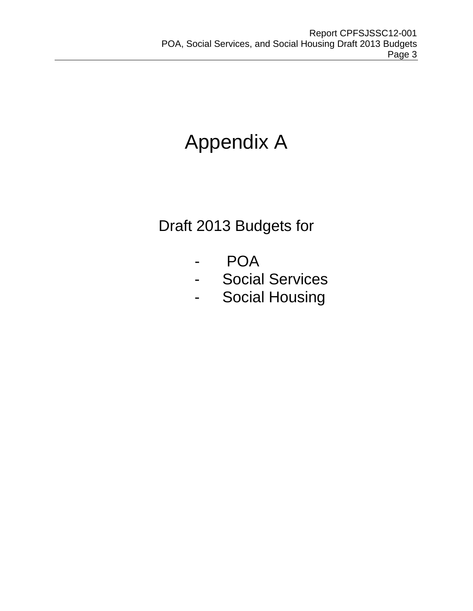# Appendix A

## Draft 2013 Budgets for

- POA
- Social Services
- Social Housing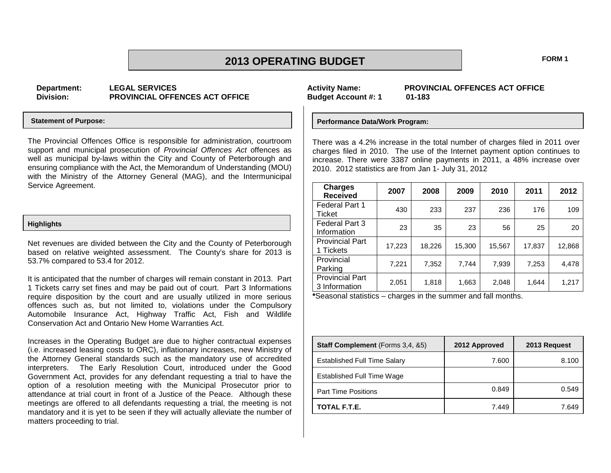### **2013 OPERATING BUDGET FORM 1**

**Department: LEGAL SERVICES Division: PROVINCIAL OFFENCES ACT OFFICE**

#### **Statement of Purpose:**

The Provincial Offences Office is responsible for administration, courtroom support and municipal prosecution of *Provincial Offences Act* offences as well as municipal by-laws within the City and County of Peterborough and ensuring compliance with the Act, the Memorandum of Understanding (MOU) with the Ministry of the Attorney General (MAG), and the Intermunicipal Service Agreement.

#### **Highlights**

Net revenues are divided between the City and the County of Peterborough based on relative weighted assessment. The County's share for 2013 is 53.7% compared to 53.4 for 2012.

It is anticipated that the number of charges will remain constant in 2013. Part 1 Tickets carry set fines and may be paid out of court. Part 3 Informations require disposition by the court and are usually utilized in more serious offences such as, but not limited to, violations under the Compulsory Automobile Insurance Act, Highway Traffic Act, Fish and Wildlife Conservation Act and Ontario New Home Warranties Act.

Increases in the Operating Budget are due to higher contractual expenses (i.e. increased leasing costs to ORC), inflationary increases, new Ministry of the Attorney General standards such as the mandatory use of accredited interpreters. The Early Resolution Court, introduced under the Good Government Act, provides for any defendant requesting a trial to have the option of a resolution meeting with the Municipal Prosecutor prior to attendance at trial court in front of a Justice of the Peace. Although these meetings are offered to all defendants requesting a trial, the meeting is not mandatory and it is yet to be seen if they will actually alleviate the number of matters proceeding to trial.

**Budget Account #: 1** 

**Activity Name: PROVINCIAL OFFENCES ACT OFFICE**

#### **Performance Data/Work Program:**

There was a 4.2% increase in the total number of charges filed in 2011 over charges filed in 2010. The use of the Internet payment option continues to increase. There were 3387 online payments in 2011, a 48% increase over 2010. 2012 statistics are from Jan 1- July 31, 2012

| <b>Charges</b><br><b>Received</b>       | 2007   | 2008   | 2009   | 2010   | 2011   | 2012   |
|-----------------------------------------|--------|--------|--------|--------|--------|--------|
| Federal Part 1<br>Ticket                | 430    | 233    | 237    | 236    | 176    | 109    |
| Federal Part 3<br>Information           | 23     | 35     | 23     | 56     | 25     | 20     |
| <b>Provincial Part</b><br>1 Tickets     | 17,223 | 18,226 | 15,300 | 15,567 | 17,837 | 12,868 |
| Provincial<br>Parking                   | 7,221  | 7,352  | 7,744  | 7,939  | 7,253  | 4,478  |
| <b>Provincial Part</b><br>3 Information | 2,051  | 1,818  | 1,663  | 2,048  | 1,644  | 1,217  |

**\***Seasonal statistics – charges in the summer and fall months.

| <b>Staff Complement</b> (Forms 3,4, &5) | 2012 Approved | 2013 Request |
|-----------------------------------------|---------------|--------------|
| Established Full Time Salary            | 7.600         | 8.100        |
| Established Full Time Wage              |               |              |
| <b>Part Time Positions</b>              | 0.849         | 0.549        |
| TOTAL F.T.E.                            | 7.449         | 7.649        |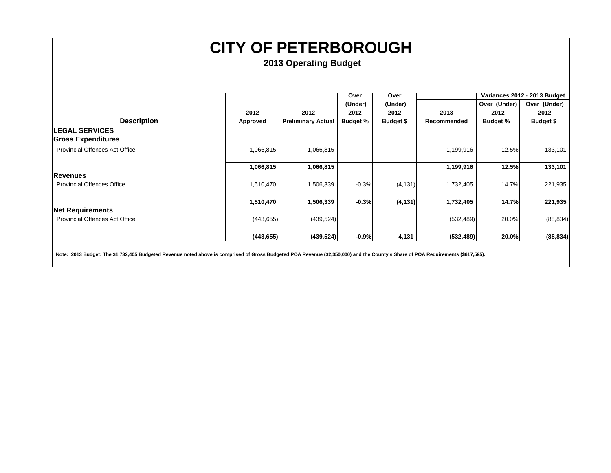|                                                                                                                                                                                  |            |                           | Over            | Over      |             |                 | Variances 2012 - 2013 Budget |
|----------------------------------------------------------------------------------------------------------------------------------------------------------------------------------|------------|---------------------------|-----------------|-----------|-------------|-----------------|------------------------------|
|                                                                                                                                                                                  |            |                           | (Under)         | (Under)   |             | Over (Under)    | Over (Under)                 |
|                                                                                                                                                                                  | 2012       | 2012                      | 2012            | 2012      | 2013        | 2012            | 2012                         |
| <b>Description</b>                                                                                                                                                               | Approved   | <b>Preliminary Actual</b> | <b>Budget %</b> | Budget \$ | Recommended | <b>Budget %</b> | Budget \$                    |
| <b>LEGAL SERVICES</b>                                                                                                                                                            |            |                           |                 |           |             |                 |                              |
| <b>Gross Expenditures</b>                                                                                                                                                        |            |                           |                 |           |             |                 |                              |
| <b>Provincial Offences Act Office</b>                                                                                                                                            | 1,066,815  | 1,066,815                 |                 |           | 1,199,916   | 12.5%           | 133,101                      |
|                                                                                                                                                                                  | 1,066,815  | 1,066,815                 |                 |           | 1,199,916   | 12.5%           | 133,101                      |
| Revenues                                                                                                                                                                         |            |                           |                 |           |             |                 |                              |
| <b>Provincial Offences Office</b>                                                                                                                                                | 1,510,470  | 1,506,339                 | $-0.3%$         | (4, 131)  | 1,732,405   | 14.7%           | 221,935                      |
|                                                                                                                                                                                  | 1,510,470  | 1,506,339                 | $-0.3%$         | (4, 131)  | 1,732,405   | 14.7%           | 221,935                      |
| <b>Net Requirements</b>                                                                                                                                                          |            |                           |                 |           |             |                 |                              |
| <b>Provincial Offences Act Office</b>                                                                                                                                            | (443, 655) | (439, 524)                |                 |           | (532, 489)  | 20.0%           | (88, 834)                    |
|                                                                                                                                                                                  | (443, 655) | (439, 524)                | $-0.9%$         | 4,131     | (532, 489)  | 20.0%           | (88, 834)                    |
| Note: 2013 Budget: The \$1,732,405 Budgeted Revenue noted above is comprised of Gross Budgeted POA Revenue (\$2,350,000) and the County's Share of POA Requirements (\$617,595). |            |                           |                 |           |             |                 |                              |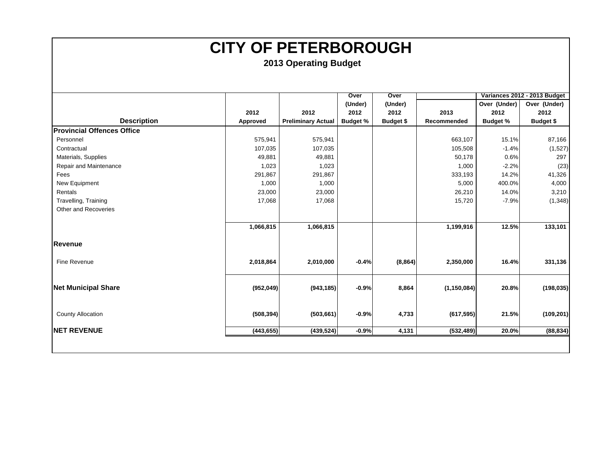|                                   |            |                           | Over            | Over      |               |                 | Variances 2012 - 2013 Budget |
|-----------------------------------|------------|---------------------------|-----------------|-----------|---------------|-----------------|------------------------------|
|                                   |            |                           | (Under)         | (Under)   |               | Over (Under)    | Over (Under)                 |
|                                   | 2012       | 2012                      | 2012            | 2012      | 2013          | 2012            | 2012                         |
| <b>Description</b>                | Approved   | <b>Preliminary Actual</b> | <b>Budget %</b> | Budget \$ | Recommended   | <b>Budget %</b> | Budget \$                    |
| <b>Provincial Offences Office</b> |            |                           |                 |           |               |                 |                              |
| Personnel                         | 575,941    | 575,941                   |                 |           | 663,107       | 15.1%           | 87,166                       |
| Contractual                       | 107,035    | 107,035                   |                 |           | 105,508       | $-1.4%$         | (1,527)                      |
| Materials, Supplies               | 49,881     | 49,881                    |                 |           | 50,178        | 0.6%            | 297                          |
| Repair and Maintenance            | 1,023      | 1,023                     |                 |           | 1,000         | $-2.2%$         | (23)                         |
| Fees                              | 291,867    | 291,867                   |                 |           | 333,193       | 14.2%           | 41,326                       |
| New Equipment                     | 1,000      | 1,000                     |                 |           | 5,000         | 400.0%          | 4,000                        |
| Rentals                           | 23,000     | 23,000                    |                 |           | 26,210        | 14.0%           | 3,210                        |
| Travelling, Training              | 17,068     | 17,068                    |                 |           | 15,720        | $-7.9%$         | (1, 348)                     |
| Other and Recoveries              |            |                           |                 |           |               |                 |                              |
|                                   |            |                           |                 |           |               |                 |                              |
|                                   | 1,066,815  | 1,066,815                 |                 |           | 1,199,916     | 12.5%           | 133,101                      |
| Revenue                           |            |                           |                 |           |               |                 |                              |
| Fine Revenue                      | 2,018,864  | 2,010,000                 | $-0.4%$         | (8, 864)  | 2,350,000     | 16.4%           | 331,136                      |
| <b>Net Municipal Share</b>        | (952, 049) | (943, 185)                | $-0.9%$         | 8,864     | (1, 150, 084) | 20.8%           | (198, 035)                   |
| <b>County Allocation</b>          | (508, 394) | (503, 661)                | $-0.9%$         | 4,733     | (617, 595)    | 21.5%           | (109, 201)                   |
| <b>INET REVENUE</b>               | (443, 655) | (439, 524)                | $-0.9%$         | 4,131     | (532, 489)    | 20.0%           | (88, 834)                    |
|                                   |            |                           |                 |           |               |                 |                              |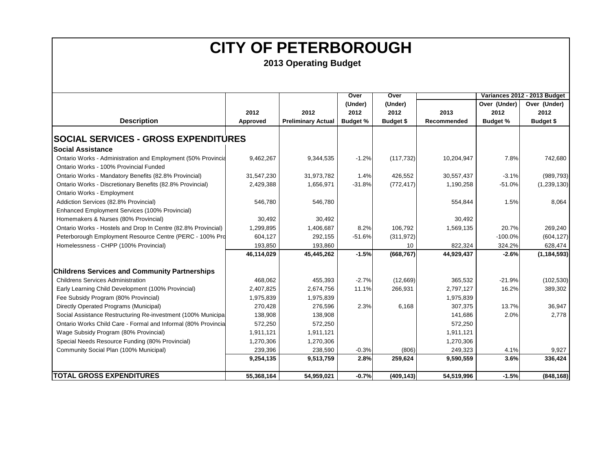|                                                               |            |                           | Over            | Over       |             |                 | Variances 2012 - 2013 Budget |
|---------------------------------------------------------------|------------|---------------------------|-----------------|------------|-------------|-----------------|------------------------------|
|                                                               |            |                           | (Under)         | (Under)    |             | Over (Under)    | Over (Under)                 |
|                                                               | 2012       | 2012                      | 2012            | 2012       | 2013        | 2012            | 2012                         |
| <b>Description</b>                                            | Approved   | <b>Preliminary Actual</b> | <b>Budget %</b> | Budget \$  | Recommended | <b>Budget %</b> | <b>Budget \$</b>             |
| <b>SOCIAL SERVICES - GROSS EXPENDITURES</b>                   |            |                           |                 |            |             |                 |                              |
|                                                               |            |                           |                 |            |             |                 |                              |
| <b>Social Assistance</b>                                      |            |                           |                 |            |             |                 |                              |
| Ontario Works - Administration and Employment (50% Provincia  | 9,462,267  | 9,344,535                 | $-1.2%$         | (117, 732) | 10,204,947  | 7.8%            | 742,680                      |
| Ontario Works - 100% Provincial Funded                        |            |                           |                 |            |             |                 |                              |
| Ontario Works - Mandatory Benefits (82.8% Provincial)         | 31,547,230 | 31,973,782                | 1.4%            | 426,552    | 30,557,437  | $-3.1%$         | (989, 793)                   |
| Ontario Works - Discretionary Benefits (82.8% Provincial)     | 2,429,388  | 1,656,971                 | $-31.8%$        | (772, 417) | 1,190,258   | $-51.0%$        | (1,239,130)                  |
| Ontario Works - Employment                                    |            |                           |                 |            |             |                 |                              |
| Addiction Services (82.8% Provincial)                         | 546,780    | 546,780                   |                 |            | 554,844     | 1.5%            | 8,064                        |
| Enhanced Employment Services (100% Provincial)                |            |                           |                 |            |             |                 |                              |
| Homemakers & Nurses (80% Provincial)                          | 30,492     | 30,492                    |                 |            | 30,492      |                 |                              |
| Ontario Works - Hostels and Drop In Centre (82.8% Provincial) | 1,299,895  | 1,406,687                 | 8.2%            | 106,792    | 1,569,135   | 20.7%           | 269,240                      |
| Peterborough Employment Resource Centre (PERC - 100% Pro      | 604,127    | 292,155                   | $-51.6%$        | (311, 972) |             | $-100.0%$       | (604, 127)                   |
| Homelessness - CHPP (100% Provincial)                         | 193,850    | 193,860                   |                 | 10         | 822,324     | 324.2%          | 628,474                      |
|                                                               | 46,114,029 | 45,445,262                | $-1.5%$         | (668, 767) | 44,929,437  | $-2.6%$         | (1, 184, 593)                |
| <b>Childrens Services and Community Partnerships</b>          |            |                           |                 |            |             |                 |                              |
| <b>Childrens Services Administration</b>                      | 468,062    | 455,393                   | $-2.7%$         | (12,669)   | 365,532     | $-21.9%$        | (102, 530)                   |
| Early Learning Child Development (100% Provincial)            | 2,407,825  | 2,674,756                 | 11.1%           | 266,931    | 2,797,127   | 16.2%           | 389,302                      |
| Fee Subsidy Program (80% Provincial)                          | 1,975,839  | 1,975,839                 |                 |            | 1,975,839   |                 |                              |
| Directly Operated Programs (Municipal)                        | 270,428    | 276,596                   | 2.3%            | 6,168      | 307,375     | 13.7%           | 36,947                       |
| Social Assistance Restructuring Re-investment (100% Municipa  | 138,908    | 138,908                   |                 |            | 141,686     | 2.0%            | 2,778                        |
| Ontario Works Child Care - Formal and Informal (80% Provincia | 572,250    | 572,250                   |                 |            | 572,250     |                 |                              |
| Wage Subsidy Program (80% Provincial)                         | 1,911,121  | 1,911,121                 |                 |            | 1,911,121   |                 |                              |
| Special Needs Resource Funding (80% Provincial)               | 1,270,306  | 1,270,306                 |                 |            | 1,270,306   |                 |                              |
| Community Social Plan (100% Municipal)                        | 239,396    | 238,590                   | $-0.3%$         | (806)      | 249,323     | 4.1%            | 9,927                        |
|                                                               | 9,254,135  | 9,513,759                 | 2.8%            | 259,624    | 9,590,559   | 3.6%            | 336,424                      |
|                                                               |            |                           |                 |            |             |                 |                              |
| <b>TOTAL GROSS EXPENDITURES</b>                               | 55,368,164 | 54,959,021                | $-0.7%$         | (409, 143) | 54,519,996  | $-1.5%$         | (848, 168)                   |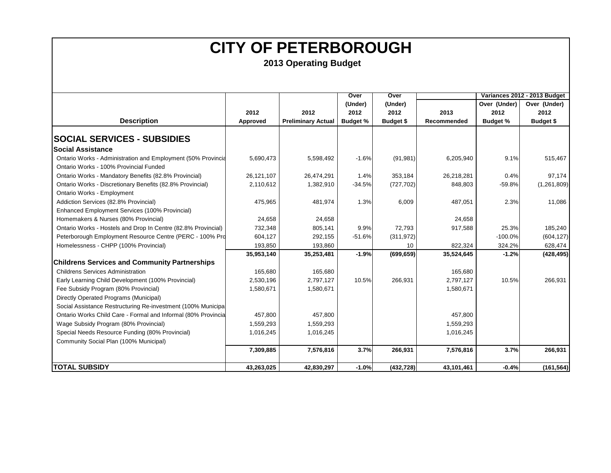|                                                               |            |                           | Over            | Over       |             |                 | Variances 2012 - 2013 Budget |
|---------------------------------------------------------------|------------|---------------------------|-----------------|------------|-------------|-----------------|------------------------------|
|                                                               |            |                           | (Under)         | (Under)    |             | Over (Under)    | Over (Under)                 |
|                                                               | 2012       | 2012                      | 2012            | 2012       | 2013        | 2012            | 2012                         |
| <b>Description</b>                                            | Approved   | <b>Preliminary Actual</b> | <b>Budget %</b> | Budget \$  | Recommended | <b>Budget %</b> | Budget \$                    |
|                                                               |            |                           |                 |            |             |                 |                              |
| <b>SOCIAL SERVICES - SUBSIDIES</b>                            |            |                           |                 |            |             |                 |                              |
| <b>Social Assistance</b>                                      |            |                           |                 |            |             |                 |                              |
| Ontario Works - Administration and Employment (50% Provincia  | 5,690,473  | 5,598,492                 | $-1.6%$         | (91, 981)  | 6,205,940   | 9.1%            | 515,467                      |
| Ontario Works - 100% Provincial Funded                        |            |                           |                 |            |             |                 |                              |
| Ontario Works - Mandatory Benefits (82.8% Provincial)         | 26,121,107 | 26,474,291                | 1.4%            | 353,184    | 26,218,281  | 0.4%            | 97,174                       |
| Ontario Works - Discretionary Benefits (82.8% Provincial)     | 2,110,612  | 1,382,910                 | $-34.5%$        | (727, 702) | 848,803     | $-59.8%$        | (1,261,809)                  |
| Ontario Works - Employment                                    |            |                           |                 |            |             |                 |                              |
| Addiction Services (82.8% Provincial)                         | 475,965    | 481,974                   | 1.3%            | 6,009      | 487,051     | 2.3%            | 11,086                       |
| Enhanced Employment Services (100% Provincial)                |            |                           |                 |            |             |                 |                              |
| Homemakers & Nurses (80% Provincial)                          | 24,658     | 24,658                    |                 |            | 24,658      |                 |                              |
| Ontario Works - Hostels and Drop In Centre (82.8% Provincial) | 732,348    | 805,141                   | 9.9%            | 72,793     | 917,588     | 25.3%           | 185,240                      |
| Peterborough Employment Resource Centre (PERC - 100% Pro      | 604,127    | 292,155                   | $-51.6%$        | (311, 972) |             | $-100.0%$       | (604, 127)                   |
| Homelessness - CHPP (100% Provincial)                         | 193,850    | 193,860                   |                 | 10         | 822,324     | 324.2%          | 628,474                      |
|                                                               | 35,953,140 | 35,253,481                | $-1.9%$         | (699, 659) | 35,524,645  | $-1.2%$         | (428, 495)                   |
| <b>Childrens Services and Community Partnerships</b>          |            |                           |                 |            |             |                 |                              |
| <b>Childrens Services Administration</b>                      | 165,680    | 165,680                   |                 |            | 165,680     |                 |                              |
| Early Learning Child Development (100% Provincial)            | 2,530,196  | 2,797,127                 | 10.5%           | 266,931    | 2,797,127   | 10.5%           | 266,931                      |
| Fee Subsidy Program (80% Provincial)                          | 1,580,671  | 1,580,671                 |                 |            | 1,580,671   |                 |                              |
| Directly Operated Programs (Municipal)                        |            |                           |                 |            |             |                 |                              |
| Social Assistance Restructuring Re-investment (100% Municipa  |            |                           |                 |            |             |                 |                              |
| Ontario Works Child Care - Formal and Informal (80% Provincia | 457,800    | 457,800                   |                 |            | 457,800     |                 |                              |
| Wage Subsidy Program (80% Provincial)                         | 1,559,293  | 1,559,293                 |                 |            | 1,559,293   |                 |                              |
| Special Needs Resource Funding (80% Provincial)               | 1,016,245  | 1,016,245                 |                 |            | 1,016,245   |                 |                              |
| Community Social Plan (100% Municipal)                        |            |                           |                 |            |             |                 |                              |
|                                                               | 7,309,885  | 7,576,816                 | 3.7%            | 266,931    | 7,576,816   | 3.7%            | 266,931                      |
| <b>TOTAL SUBSIDY</b>                                          | 43,263,025 | 42,830,297                | $-1.0%$         | (432, 728) | 43,101,461  | $-0.4%$         | (161, 564)                   |
|                                                               |            |                           |                 |            |             |                 |                              |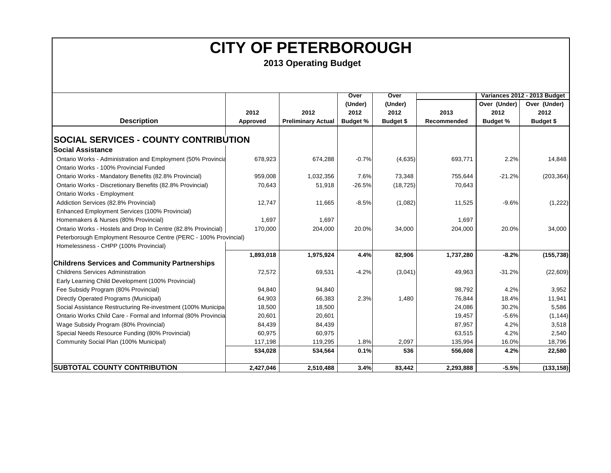|                                                                  |           |                           | Over            | Over      |             |                 | Variances 2012 - 2013 Budget |
|------------------------------------------------------------------|-----------|---------------------------|-----------------|-----------|-------------|-----------------|------------------------------|
|                                                                  |           |                           | (Under)         | (Under)   |             | Over (Under)    | Over (Under)                 |
|                                                                  | 2012      | 2012                      | 2012            | 2012      | 2013        | 2012            | 2012                         |
| <b>Description</b>                                               | Approved  | <b>Preliminary Actual</b> | <b>Budget %</b> | Budget \$ | Recommended | <b>Budget %</b> | <b>Budget \$</b>             |
|                                                                  |           |                           |                 |           |             |                 |                              |
| <b>SOCIAL SERVICES - COUNTY CONTRIBUTION</b>                     |           |                           |                 |           |             |                 |                              |
| <b>Social Assistance</b>                                         |           |                           |                 |           |             |                 |                              |
| Ontario Works - Administration and Employment (50% Provincia     | 678,923   | 674,288                   | $-0.7%$         | (4,635)   | 693,771     | 2.2%            | 14,848                       |
| Ontario Works - 100% Provincial Funded                           |           |                           |                 |           |             |                 |                              |
| Ontario Works - Mandatory Benefits (82.8% Provincial)            | 959,008   | 1,032,356                 | 7.6%            | 73,348    | 755,644     | $-21.2%$        | (203, 364)                   |
| Ontario Works - Discretionary Benefits (82.8% Provincial)        | 70,643    | 51,918                    | $-26.5%$        | (18, 725) | 70,643      |                 |                              |
| Ontario Works - Employment                                       |           |                           |                 |           |             |                 |                              |
| Addiction Services (82.8% Provincial)                            | 12,747    | 11,665                    | $-8.5%$         | (1,082)   | 11,525      | $-9.6%$         | (1,222)                      |
| Enhanced Employment Services (100% Provincial)                   |           |                           |                 |           |             |                 |                              |
| Homemakers & Nurses (80% Provincial)                             | 1,697     | 1,697                     |                 |           | 1,697       |                 |                              |
| Ontario Works - Hostels and Drop In Centre (82.8% Provincial)    | 170,000   | 204,000                   | 20.0%           | 34,000    | 204,000     | 20.0%           | 34,000                       |
| Peterborough Employment Resource Centre (PERC - 100% Provincial) |           |                           |                 |           |             |                 |                              |
| Homelessness - CHPP (100% Provincial)                            |           |                           |                 |           |             |                 |                              |
|                                                                  | 1,893,018 | 1,975,924                 | 4.4%            | 82,906    | 1,737,280   | $-8.2%$         | (155, 738)                   |
| <b>Childrens Services and Community Partnerships</b>             |           |                           |                 |           |             |                 |                              |
| <b>Childrens Services Administration</b>                         | 72,572    | 69,531                    | $-4.2%$         | (3,041)   | 49,963      | $-31.2%$        | (22, 609)                    |
| Early Learning Child Development (100% Provincial)               |           |                           |                 |           |             |                 |                              |
| Fee Subsidy Program (80% Provincial)                             | 94,840    | 94,840                    |                 |           | 98,792      | 4.2%            | 3,952                        |
| Directly Operated Programs (Municipal)                           | 64,903    | 66,383                    | 2.3%            | 1,480     | 76,844      | 18.4%           | 11,941                       |
| Social Assistance Restructuring Re-investment (100% Municipa     | 18,500    | 18,500                    |                 |           | 24,086      | 30.2%           | 5,586                        |
| Ontario Works Child Care - Formal and Informal (80% Provincia    | 20,601    | 20,601                    |                 |           | 19,457      | $-5.6%$         | (1, 144)                     |
| Wage Subsidy Program (80% Provincial)                            | 84,439    | 84,439                    |                 |           | 87,957      | 4.2%            | 3,518                        |
| Special Needs Resource Funding (80% Provincial)                  | 60,975    | 60,975                    |                 |           | 63,515      | 4.2%            | 2,540                        |
| Community Social Plan (100% Municipal)                           | 117,198   | 119,295                   | 1.8%            | 2,097     | 135,994     | 16.0%           | 18,796                       |
|                                                                  | 534,028   | 534,564                   | 0.1%            | 536       | 556,608     | 4.2%            | 22,580                       |
| <b>SUBTOTAL COUNTY CONTRIBUTION</b>                              | 2,427,046 | 2,510,488                 | 3.4%            | 83,442    | 2,293,888   | $-5.5%$         | (133, 158)                   |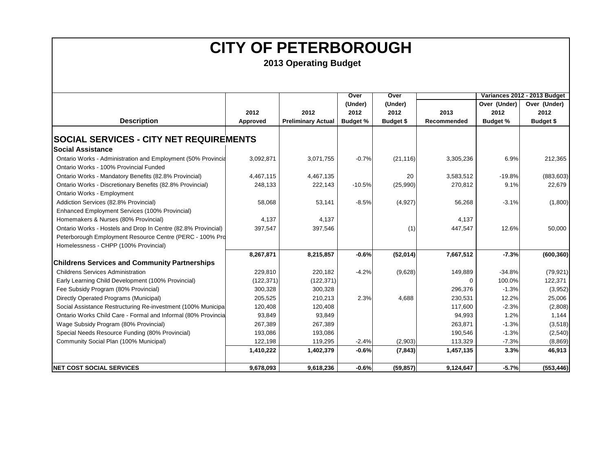|                                                               |            |                           | Over            | Over      |             |                 | Variances 2012 - 2013 Budget |
|---------------------------------------------------------------|------------|---------------------------|-----------------|-----------|-------------|-----------------|------------------------------|
|                                                               |            |                           | (Under)         | (Under)   |             | Over (Under)    | Over (Under)                 |
|                                                               | 2012       | 2012                      | 2012            | 2012      | 2013        | 2012            | 2012                         |
| <b>Description</b>                                            | Approved   | <b>Preliminary Actual</b> | <b>Budget %</b> | Budget \$ | Recommended | <b>Budget %</b> | <b>Budget \$</b>             |
|                                                               |            |                           |                 |           |             |                 |                              |
| <b>SOCIAL SERVICES - CITY NET REQUIREMENTS</b>                |            |                           |                 |           |             |                 |                              |
| <b>Social Assistance</b>                                      |            |                           |                 |           |             |                 |                              |
| Ontario Works - Administration and Employment (50% Provincia  | 3,092,871  | 3,071,755                 | $-0.7%$         | (21, 116) | 3,305,236   | 6.9%            | 212,365                      |
| Ontario Works - 100% Provincial Funded                        |            |                           |                 |           |             |                 |                              |
| Ontario Works - Mandatory Benefits (82.8% Provincial)         | 4,467,115  | 4,467,135                 |                 | 20        | 3,583,512   | $-19.8%$        | (883, 603)                   |
| Ontario Works - Discretionary Benefits (82.8% Provincial)     | 248,133    | 222,143                   | $-10.5%$        | (25,990)  | 270,812     | 9.1%            | 22,679                       |
| Ontario Works - Employment                                    |            |                           |                 |           |             |                 |                              |
| Addiction Services (82.8% Provincial)                         | 58,068     | 53,141                    | $-8.5%$         | (4, 927)  | 56,268      | $-3.1%$         | (1,800)                      |
| Enhanced Employment Services (100% Provincial)                |            |                           |                 |           |             |                 |                              |
| Homemakers & Nurses (80% Provincial)                          | 4,137      | 4,137                     |                 |           | 4,137       |                 |                              |
| Ontario Works - Hostels and Drop In Centre (82.8% Provincial) | 397,547    | 397,546                   |                 | (1)       | 447,547     | 12.6%           | 50,000                       |
| Peterborough Employment Resource Centre (PERC - 100% Pro      |            |                           |                 |           |             |                 |                              |
| Homelessness - CHPP (100% Provincial)                         |            |                           |                 |           |             |                 |                              |
|                                                               | 8,267,871  | 8,215,857                 | $-0.6%$         | (52, 014) | 7,667,512   | $-7.3%$         | (600, 360)                   |
| <b>Childrens Services and Community Partnerships</b>          |            |                           |                 |           |             |                 |                              |
| <b>Childrens Services Administration</b>                      | 229,810    | 220,182                   | $-4.2%$         | (9,628)   | 149,889     | $-34.8%$        | (79, 921)                    |
| Early Learning Child Development (100% Provincial)            | (122, 371) | (122, 371)                |                 |           | ∩           | 100.0%          | 122,371                      |
| Fee Subsidy Program (80% Provincial)                          | 300,328    | 300,328                   |                 |           | 296,376     | $-1.3%$         | (3,952)                      |
| Directly Operated Programs (Municipal)                        | 205,525    | 210,213                   | 2.3%            | 4,688     | 230,531     | 12.2%           | 25,006                       |
| Social Assistance Restructuring Re-investment (100% Municipal | 120,408    | 120,408                   |                 |           | 117,600     | $-2.3%$         | (2,808)                      |
| Ontario Works Child Care - Formal and Informal (80% Provincia | 93,849     | 93,849                    |                 |           | 94,993      | 1.2%            | 1,144                        |
| Wage Subsidy Program (80% Provincial)                         | 267,389    | 267,389                   |                 |           | 263,871     | $-1.3%$         | (3, 518)                     |
| Special Needs Resource Funding (80% Provincial)               | 193,086    | 193,086                   |                 |           | 190,546     | $-1.3%$         | (2, 540)                     |
| Community Social Plan (100% Municipal)                        | 122,198    | 119,295                   | $-2.4%$         | (2,903)   | 113,329     | $-7.3%$         | (8,869)                      |
|                                                               | 1,410,222  | 1,402,379                 | $-0.6%$         | (7, 843)  | 1,457,135   | 3.3%            | 46,913                       |
|                                                               |            |                           |                 |           |             |                 |                              |
| <b>NET COST SOCIAL SERVICES</b>                               | 9,678,093  | 9,618,236                 | $-0.6%$         | (59, 857) | 9,124,647   | $-5.7%$         | (553, 446)                   |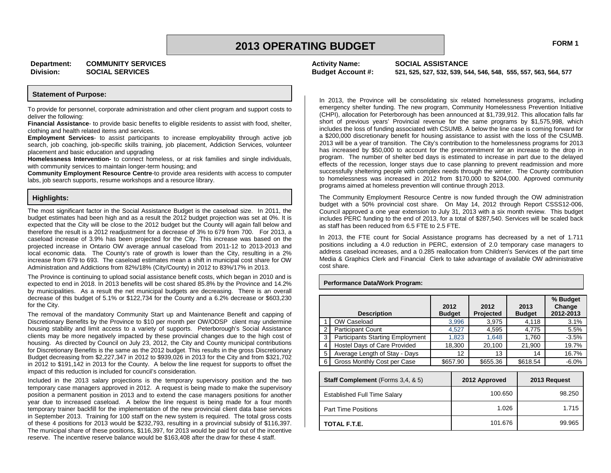**Activity Name: SOCIAL ASSISTANCE**

**Budget Account #: 521, 525, 527, 532, 539, 544, 546, 548, 555, 557, 563, 564, 577**

#### **Statement of Purpose:**

To provide for personnel, corporate administration and other client program and support costs to deliver the following:

**Financial Assistance**- to provide basic benefits to eligible residents to assist with food, shelter, clothing and health related items and services.

**Employment Services**- to assist participants to increase employability through active job search, job coaching, job-specific skills training, job placement, Addiction Services, volunteer placement and basic education and upgrading

**Homelessness Intervention-** to connect homeless, or at risk families and single individuals, with community services to maintain longer-term housing; and

**Community Employment Resource Centre**-to provide area residents with access to computer labs, job search supports, resume workshops and a resource library.

#### **Highlights:**

The most significant factor in the Social Assistance Budget is the caseload size. In 2011, the budget estimates had been high and as a result the 2012 budget projection was set at 0%. It is expected that the City will be close to the 2012 budget but the County will again fall below and therefore the result is a 2012 readjustment for a decrease of 3% to 679 from 700. For 2013, a caseload increase of 3.9% has been projected for the City. This increase was based on the projected increase in Ontario OW average annual caseload from 2011-12 to 2013-2013 and local economic data. The County's rate of growth is lower than the City, resulting in a 2% increase from 679 to 693. The caseload estimates mean a shift in municipal cost share for OW Administration and Addictions from 82%/18% (City/County) in 2012 to 83%/17% in 2013.

The Province is continuing to upload social assistance benefit costs, which began in 2010 and is expected to end in 2018. In 2013 benefits will be cost shared 85.8% by the Province and 14.2% by municipalities. As a result the net municipal budgets are decreasing. There is an overall decrease of this budget of 5.1% or \$122,734 for the County and a 6.2% decrease or \$603,230 for the City.

The removal of the mandatory Community Start up and Maintenance Benefit and capping of Discretionary Benefits by the Province to \$10 per month per OW/ODSP client may undermine housing stability and limit access to a variety of supports. Peterborough's Social Assistance clients may be more negatively impacted by these provincial changes due to the high cost of housing. As directed by Council on July 23, 2012, the City and County municipal contributions for Discretionary Benefits is the same as the 2012 budget. This results in the gross Discretionary Budget decreasing from \$2,227,347 in 2012 to \$939,026 in 2013 for the City and from \$321,702 in 2012 to \$191,142 in 2013 for the County. A below the line request for supports to offset the impact of this reduction is included for council's consideration.

Included in the 2013 salary projections is the temporary supervisory position and the two temporary case managers approved in 2012. A request is being made to make the supervisory position a permanent position in 2013 and to extend the case managers positions for another year due to increased caseload. A below the line request is being made for a four month temporary trainer backfill for the implementation of the new provincial client data base services in September 2013. Training for 100 staff on the new system is required. The total gross costs of these 4 positions for 2013 would be \$232,793, resulting in a provincial subsidy of \$116,397. The municipal share of these positions, \$116,397, for 2013 would be paid for out of the incentive reserve. The incentive reserve balance would be \$163,408 after the draw for these 4 staff.

In 2013, the Province will be consolidating six related homelessness programs, including emergency shelter funding. The new program, Community Homelessness Prevention Initiative (CHPI), allocation for Peterborough has been announced at \$1,739,912. This allocation falls far short of previous years' Provincial revenue for the same programs by \$1,575,998, which includes the loss of funding associated with CSUMB. A below the line case is coming forward for a \$200,000 discretionary benefit for housing assistance to assist with the loss of the CSUMB. 2013 will be a year of transition. The City's contribution to the homelessness programs for 2013 has increased by \$50,000 to account for the precommitment for an increase to the drop in program. The number of shelter bed days is estimated to increase in part due to the delayed effects of the recession, longer stays due to case planning to prevent readmission and more successfully sheltering people with complex needs through the winter. The County contribution to homelessness was increased in 2012 from \$170,000 to \$204,000. Approved community programs aimed at homeless prevention will continue through 2013.

The Community Employment Resource Centre is now funded through the OW administration budget with a 50% provincial cost share. On May 14, 2012 through Report CSSS12-006, Council approved a one year extension to July 31, 2013 with a six month review. This budget includes PERC funding to the end of 2013, for a total of \$287,540. Services will be scaled back as staff has been reduced from 6.5 FTE to 2.5 FTE.

In 2013, the FTE count for Social Assistance programs has decreased by a net of 1.711 positions including a 4.0 reduction in PERC, extension of 2.0 temporary case managers to address caseload increases, and a 0.285 reallocation from Children's Services of the part time Media & Graphics Clerk and Financial Clerk to take advantage of available OW administrative cost share.

#### **Performance Data/Work Program:**

|   | <b>Description</b>                      | 2012<br><b>Budget</b> | 2012<br><b>Projected</b> | 2013<br><b>Budget</b> | % Budget<br>Change<br>2012-2013 |
|---|-----------------------------------------|-----------------------|--------------------------|-----------------------|---------------------------------|
|   | OW Caseload                             | 3,996                 | 3.975                    | 4,118                 | 3.1%                            |
|   | <b>Participant Count</b>                | 4.527                 | 4,595                    | 4,775                 | 5.5%                            |
| 3 | <b>Participants Starting Employment</b> | 1,823                 | 1,648                    | 1,760                 | $-3.5%$                         |
| 4 | Hostel Days of Care Provided            | 18,300                | 20,100                   | 21,900                | 19.7%                           |
| 5 | Average Length of Stay - Days           | 12                    | 13                       | 14                    | 16.7%                           |
| 6 | Gross Monthly Cost per Case             | \$657.90              | \$655.36                 | \$618.54              | $-6.0%$                         |

| <b>Staff Complement</b> (Forms 3,4, & 5) | 2012 Approved | 2013 Request |
|------------------------------------------|---------------|--------------|
| <b>Established Full Time Salary</b>      | 100.650       | 98.250       |
| <b>Part Time Positions</b>               | 1.026         | 1.715        |
| TOTAL F.T.E.                             | 101.676       | 99.965       |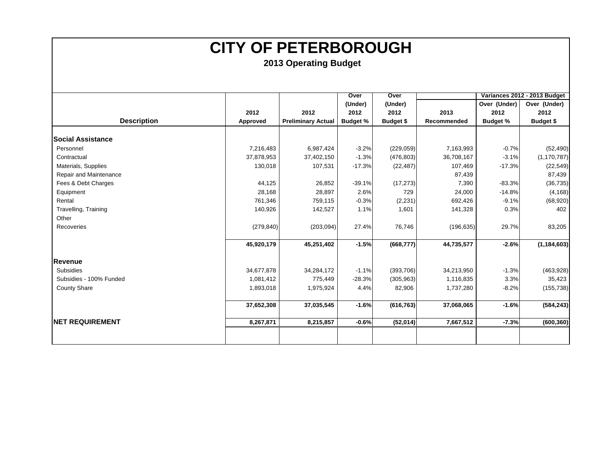|                          |            |                           | Over            | Over             |             |                 | Variances 2012 - 2013 Budget |
|--------------------------|------------|---------------------------|-----------------|------------------|-------------|-----------------|------------------------------|
|                          |            |                           | (Under)         | (Under)          |             | Over (Under)    | Over (Under)                 |
|                          | 2012       | 2012                      | 2012            | 2012             | 2013        | 2012            | 2012                         |
| <b>Description</b>       | Approved   | <b>Preliminary Actual</b> | <b>Budget %</b> | <b>Budget \$</b> | Recommended | <b>Budget %</b> | <b>Budget \$</b>             |
|                          |            |                           |                 |                  |             |                 |                              |
| <b>Social Assistance</b> |            |                           |                 |                  |             |                 |                              |
| Personnel                | 7,216,483  | 6,987,424                 | $-3.2%$         | (229, 059)       | 7,163,993   | $-0.7%$         | (52, 490)                    |
| Contractual              | 37,878,953 | 37,402,150                | $-1.3%$         | (476, 803)       | 36,708,167  | $-3.1%$         | (1, 170, 787)                |
| Materials, Supplies      | 130,018    | 107,531                   | $-17.3%$        | (22, 487)        | 107,469     | $-17.3%$        | (22, 549)                    |
| Repair and Maintenance   |            |                           |                 |                  | 87,439      |                 | 87,439                       |
| Fees & Debt Charges      | 44,125     | 26,852                    | $-39.1%$        | (17, 273)        | 7,390       | $-83.3%$        | (36, 735)                    |
| Equipment                | 28,168     | 28,897                    | 2.6%            | 729              | 24,000      | $-14.8%$        | (4, 168)                     |
| Rental                   | 761,346    | 759,115                   | $-0.3%$         | (2, 231)         | 692,426     | $-9.1%$         | (68,920)                     |
| Travelling, Training     | 140,926    | 142,527                   | 1.1%            | 1,601            | 141,328     | 0.3%            | 402                          |
| Other                    |            |                           |                 |                  |             |                 |                              |
| Recoveries               | (279, 840) | (203, 094)                | 27.4%           | 76,746           | (196, 635)  | 29.7%           | 83,205                       |
|                          | 45,920,179 | 45,251,402                | $-1.5%$         | (668, 777)       | 44,735,577  | $-2.6%$         | (1, 184, 603)                |
| Revenue                  |            |                           |                 |                  |             |                 |                              |
| <b>Subsidies</b>         | 34,677,878 | 34,284,172                | $-1.1%$         | (393, 706)       | 34,213,950  | $-1.3%$         | (463,928)                    |
| Subsidies - 100% Funded  | 1,081,412  | 775,449                   | $-28.3%$        | (305, 963)       | 1,116,835   | 3.3%            | 35,423                       |
| <b>County Share</b>      | 1,893,018  | 1,975,924                 | 4.4%            | 82,906           | 1,737,280   | $-8.2%$         | (155, 738)                   |
|                          |            |                           |                 |                  |             |                 |                              |
|                          | 37,652,308 | 37,035,545                | $-1.6%$         | (616, 763)       | 37,068,065  | $-1.6%$         | (584, 243)                   |
| <b>INET REQUIREMENT</b>  | 8,267,871  | 8,215,857                 | $-0.6%$         | (52,014)         | 7,667,512   | $-7.3%$         | (600, 360)                   |
|                          |            |                           |                 |                  |             |                 |                              |
|                          |            |                           |                 |                  |             |                 |                              |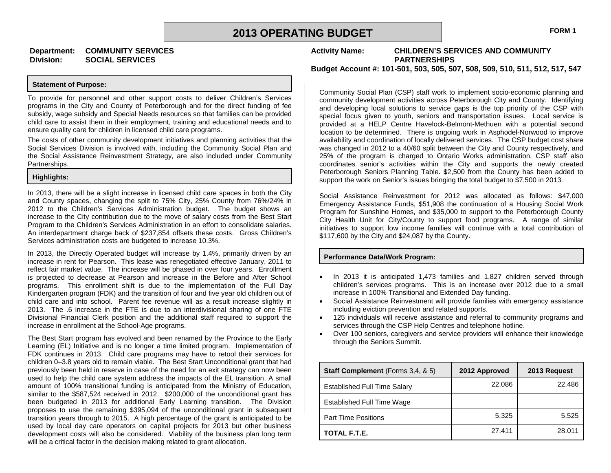#### **Department: COMMUNITY SERVICES Division: SOCIAL SERVICES**

#### **Statement of Purpose:**

To provide for personnel and other support costs to deliver Children's Services programs in the City and County of Peterborough and for the direct funding of fee subsidy, wage subsidy and Special Needs resources so that families can be provided child care to assist them in their employment, training and educational needs and to ensure quality care for children in licensed child care programs.

The costs of other community development initiatives and planning activities that the Social Services Division is involved with, including the Community Social Plan and the Social Assistance Reinvestment Strategy, are also included under Community Partnerships.

#### **Highlights:**

In 2013, there will be a slight increase in licensed child care spaces in both the City and County spaces, changing the split to 75% City, 25% County from 76%/24% in 2012 to the Children's Services Administration budget. The budget shows an increase to the City contribution due to the move of salary costs from the Best Start Program to the Children's Services Administration in an effort to consolidate salaries. An interdepartment charge back of \$237,854 offsets these costs. Gross Children's Services administration costs are budgeted to increase 10.3%.

In 2013, the Directly Operated budget will increase by 1.4%, primarily driven by an increase in rent for Pearson. This lease was renegotiated effective January, 2011 to reflect fair market value. The increase will be phased in over four years. Enrollment is projected to decrease at Pearson and increase in the Before and After School programs. This enrollment shift is due to the implementation of the Full Day Kindergarten program (FDK) and the transition of four and five year old children out of child care and into school. Parent fee revenue will as a result increase slightly in 2013. The .6 increase in the FTE is due to an interdivisional sharing of one FTE Divisional Financial Clerk position and the additional staff required to support the increase in enrollment at the School-Age programs.

The Best Start program has evolved and been renamed by the Province to the Early Learning (EL) Initiative and is no longer a time limited program. Implementation of FDK continues in 2013. Child care programs may have to retool their services for children 0–3.8 years old to remain viable. The Best Start Unconditional grant that had previously been held in reserve in case of the need for an exit strategy can now been used to help the child care system address the impacts of the EL transition. A small amount of 100% transitional funding is anticipated from the Ministry of Education, similar to the \$587,524 received in 2012. \$200,000 of the unconditional grant has been budgeted in 2013 for additional Early Learning transition. The Division proposes to use the remaining \$395,094 of the unconditional grant in subsequent transition years through to 2015. A high percentage of the grant is anticipated to be used by local day care operators on capital projects for 2013 but other business development costs will also be considered. Viability of the business plan long term will be a critical factor in the decision making related to grant allocation.

**Activity Name: CHILDREN'S SERVICES AND COMMUNITY PARTNERSHIPS**

**Budget Account #: 101-501, 503, 505, 507, 508, 509, 510, 511, 512, 517, 547**

Community Social Plan (CSP) staff work to implement socio-economic planning and community development activities across Peterborough City and County. Identifying and developing local solutions to service gaps is the top priority of the CSP with special focus given to youth, seniors and transportation issues. Local service is provided at a HELP Centre Havelock-Belmont-Methuen with a potential second location to be determined. There is ongoing work in Asphodel-Norwood to improve availability and coordination of locally delivered services. The CSP budget cost share was changed in 2012 to a 40/60 split between the City and County respectively, and 25% of the program is charged to Ontario Works administration. CSP staff also coordinates senior's activities within the City and supports the newly created Peterborough Seniors Planning Table. \$2,500 from the County has been added to support the work on Senior's issues bringing the total budget to \$7,500 in 2013.

Social Assistance Reinvestment for 2012 was allocated as follows: \$47,000 Emergency Assistance Funds, \$51,908 the continuation of a Housing Social Work Program for Sunshine Homes, and \$35,000 to support to the Peterborough County City Health Unit for City/County to support food programs. A range of similar initiatives to support low income families will continue with a total contribution of \$117,600 by the City and \$24,087 by the County.

#### **Performance Data/Work Program:**

- In 2013 it is anticipated 1,473 families and 1,827 children served through children's services programs. This is an increase over 2012 due to a small increase in 100% Transitional and Extended Day funding.
- Social Assistance Reinvestment will provide families with emergency assistance including eviction prevention and related supports.
- 125 individuals will receive assistance and referral to community programs and services through the CSP Help Centres and telephone hotline.
- Over 100 seniors, caregivers and service providers will enhance their knowledge through the Seniors Summit.

| <b>Staff Complement</b> (Forms 3,4, & 5) | 2012 Approved | 2013 Request |
|------------------------------------------|---------------|--------------|
| <b>Established Full Time Salary</b>      | 22.086        | 22.486       |
| <b>Established Full Time Wage</b>        |               |              |
| <b>Part Time Positions</b>               | 5.325         | 5.525        |
| TOTAL F.T.E.                             | 27.411        | 28.011       |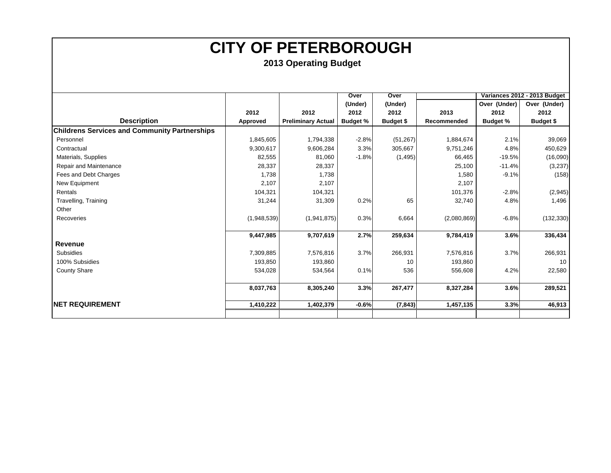|                                                      |             |                           | Over            | Over             |             |                 | Variances 2012 - 2013 Budget |
|------------------------------------------------------|-------------|---------------------------|-----------------|------------------|-------------|-----------------|------------------------------|
|                                                      |             |                           | (Under)         | (Under)          |             | Over (Under)    | Over (Under)                 |
|                                                      | 2012        | 2012                      | 2012            | 2012             | 2013        | 2012            | 2012                         |
| <b>Description</b>                                   | Approved    | <b>Preliminary Actual</b> | <b>Budget %</b> | <b>Budget \$</b> | Recommended | <b>Budget %</b> | <b>Budget \$</b>             |
| <b>Childrens Services and Community Partnerships</b> |             |                           |                 |                  |             |                 |                              |
| Personnel                                            | 1,845,605   | 1,794,338                 | $-2.8%$         | (51, 267)        | 1,884,674   | 2.1%            | 39,069                       |
| Contractual                                          | 9,300,617   | 9,606,284                 | 3.3%            | 305,667          | 9,751,246   | 4.8%            | 450,629                      |
| Materials, Supplies                                  | 82,555      | 81,060                    | $-1.8%$         | (1, 495)         | 66,465      | $-19.5%$        | (16,090)                     |
| Repair and Maintenance                               | 28,337      | 28,337                    |                 |                  | 25,100      | $-11.4%$        | (3,237)                      |
| Fees and Debt Charges                                | 1,738       | 1,738                     |                 |                  | 1,580       | $-9.1%$         | (158)                        |
| New Equipment                                        | 2,107       | 2,107                     |                 |                  | 2,107       |                 |                              |
| Rentals                                              | 104,321     | 104,321                   |                 |                  | 101,376     | $-2.8%$         | (2,945)                      |
| Travelling, Training                                 | 31,244      | 31,309                    | 0.2%            | 65               | 32,740      | 4.8%            | 1,496                        |
| Other                                                |             |                           |                 |                  |             |                 |                              |
| Recoveries                                           | (1,948,539) | (1,941,875)               | 0.3%            | 6,664            | (2,080,869) | $-6.8%$         | (132, 330)                   |
|                                                      |             |                           |                 |                  |             |                 |                              |
|                                                      | 9,447,985   | 9,707,619                 | 2.7%            | 259,634          | 9,784,419   | 3.6%            | 336,434                      |
| Revenue                                              |             |                           |                 |                  |             |                 |                              |
| Subsidies                                            | 7,309,885   | 7,576,816                 | 3.7%            | 266,931          | 7,576,816   | 3.7%            | 266,931                      |
| 100% Subsidies                                       | 193,850     | 193,860                   |                 | 10               | 193,860     |                 | 10 <sup>1</sup>              |
| <b>County Share</b>                                  | 534,028     | 534,564                   | 0.1%            | 536              | 556,608     | 4.2%            | 22,580                       |
|                                                      |             |                           |                 |                  |             |                 |                              |
|                                                      | 8,037,763   | 8,305,240                 | 3.3%            | 267,477          | 8,327,284   | 3.6%            | 289,521                      |
|                                                      |             |                           |                 |                  |             |                 |                              |
| <b>NET REQUIREMENT</b>                               | 1,410,222   | 1,402,379                 | $-0.6%$         | (7, 843)         | 1,457,135   | 3.3%            | 46,913                       |
|                                                      |             |                           |                 |                  |             |                 |                              |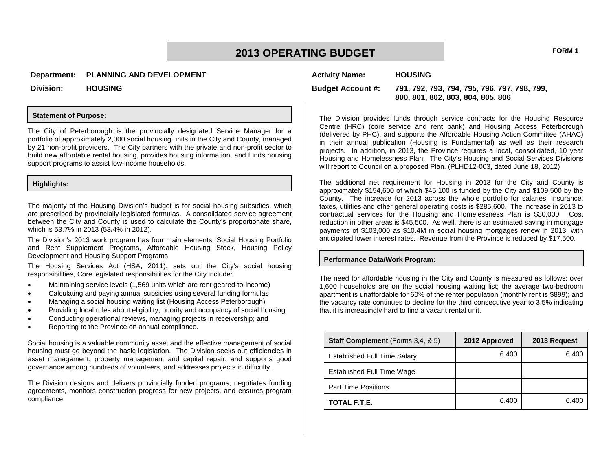### **2013 OPERATING BUDGET FORM 1**

**Activity Name: HOUSING**

**Division: HOUSING**

#### **Statement of Purpose:**

The City of Peterborough is the provincially designated Service Manager for a portfolio of approximately 2,000 social housing units in the City and County, managed by 21 non-profit providers. The City partners with the private and non-profit sector to build new affordable rental housing, provides housing information, and funds housing support programs to assist low-income households.

#### **Highlights:**

The majority of the Housing Division's budget is for social housing subsidies, which are prescribed by provincially legislated formulas. A consolidated service agreement between the City and County is used to calculate the County's proportionate share, which is 53.7% in 2013 (53**.**4% in 2012).

The Division's 2013 work program has four main elements: Social Housing Portfolio and Rent Supplement Programs, Affordable Housing Stock, Housing Policy Development and Housing Support Programs.

The Housing Services Act (HSA, 2011), sets out the City's social housing responsibilities, Core legislated responsibilities for the City include:

- Maintaining service levels (1,569 units which are rent geared-to-income)
- Calculating and paying annual subsidies using several funding formulas
- Managing a social housing waiting list (Housing Access Peterborough)
- Providing local rules about eligibility, priority and occupancy of social housing
- Conducting operational reviews, managing projects in receivership; and
- Reporting to the Province on annual compliance.

Social housing is a valuable community asset and the effective management of social housing must go beyond the basic legislation. The Division seeks out efficiencies in asset management, property management and capital repair, and supports good governance among hundreds of volunteers, and addresses projects in difficulty.

The Division designs and delivers provincially funded programs, negotiates funding agreements, monitors construction progress for new projects, and ensures program compliance.

**Budget Account #: 791, 792, 793, 794, 795, 796, 797, 798, 799, 800, 801, 802, 803, 804, 805, 806**

The Division provides funds through service contracts for the Housing Resource Centre (HRC) (core service and rent bank) and Housing Access Peterborough (delivered by PHC), and supports the Affordable Housing Action Committee (AHAC) in their annual publication (Housing is Fundamental) as well as their research projects. In addition, in 2013, the Province requires a local, consolidated, 10 year Housing and Homelessness Plan. The City's Housing and Social Services Divisions will report to Council on a proposed Plan. (PLHD12-003, dated June 18, 2012)

The additional net requirement for Housing in 2013 for the City and County is approximately \$154,600 of which \$45,100 is funded by the City and \$109,500 by the County. The increase for 2013 across the whole portfolio for salaries, insurance, taxes, utilities and other general operating costs is \$285,600. The increase in 2013 to contractual services for the Housing and Homelessness Plan is \$30,000. Cost reduction in other areas is \$45,500. As well, there is an estimated saving in mortgage payments of \$103,000 as \$10.4M in social housing mortgages renew in 2013, with anticipated lower interest rates. Revenue from the Province is reduced by \$17,500.

#### **Performance Data/Work Program:**

The need for affordable housing in the City and County is measured as follows: over 1,600 households are on the social housing waiting list; the average two-bedroom apartment is unaffordable for 60% of the renter population (monthly rent is \$899); and the vacancy rate continues to decline for the third consecutive year to 3.5% indicating that it is increasingly hard to find a vacant rental unit.

| <b>Staff Complement</b> (Forms 3,4, & 5) | 2012 Approved | 2013 Request |
|------------------------------------------|---------------|--------------|
| <b>Established Full Time Salary</b>      | 6.400         | 6.400        |
| Established Full Time Wage               |               |              |
| <b>Part Time Positions</b>               |               |              |
| TOTAL F.T.E.                             | 6.400         | 6.400        |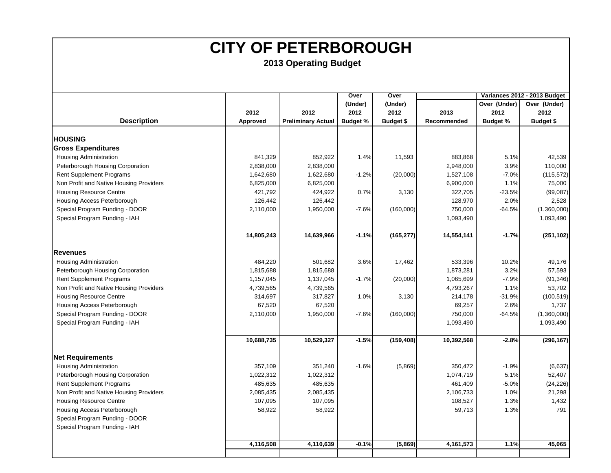|                                         |            |                           | Over            | Over             |             |                 | Variances 2012 - 2013 Budget |
|-----------------------------------------|------------|---------------------------|-----------------|------------------|-------------|-----------------|------------------------------|
|                                         |            |                           | (Under)         | (Under)          |             | Over (Under)    | Over (Under)                 |
|                                         | 2012       | 2012                      | 2012            | 2012             | 2013        | 2012            | 2012                         |
| <b>Description</b>                      | Approved   | <b>Preliminary Actual</b> | <b>Budget %</b> | <b>Budget \$</b> | Recommended | <b>Budget %</b> | <b>Budget \$</b>             |
|                                         |            |                           |                 |                  |             |                 |                              |
| <b>HOUSING</b>                          |            |                           |                 |                  |             |                 |                              |
| <b>Gross Expenditures</b>               |            |                           |                 |                  |             |                 |                              |
| <b>Housing Administration</b>           | 841,329    | 852,922                   | 1.4%            | 11,593           | 883,868     | 5.1%            | 42,539                       |
| Peterborough Housing Corporation        | 2,838,000  | 2,838,000                 |                 |                  | 2,948,000   | 3.9%            | 110,000                      |
| <b>Rent Supplement Programs</b>         | 1,642,680  | 1,622,680                 | $-1.2%$         | (20,000)         | 1,527,108   | $-7.0%$         | (115, 572)                   |
| Non Profit and Native Housing Providers | 6,825,000  | 6,825,000                 |                 |                  | 6,900,000   | 1.1%            | 75,000                       |
| <b>Housing Resource Centre</b>          | 421,792    | 424,922                   | 0.7%            | 3,130            | 322,705     | $-23.5%$        | (99, 087)                    |
| Housing Access Peterborough             | 126,442    | 126,442                   |                 |                  | 128,970     | 2.0%            | 2,528                        |
| Special Program Funding - DOOR          | 2,110,000  | 1,950,000                 | $-7.6%$         | (160,000)        | 750,000     | $-64.5%$        | (1,360,000)                  |
| Special Program Funding - IAH           |            |                           |                 |                  | 1,093,490   |                 | 1,093,490                    |
|                                         |            |                           |                 |                  |             |                 |                              |
|                                         | 14,805,243 | 14,639,966                | $-1.1%$         | (165, 277)       | 14,554,141  | $-1.7%$         | (251, 102)                   |
| <b>Revenues</b>                         |            |                           |                 |                  |             |                 |                              |
| <b>Housing Administration</b>           | 484,220    | 501,682                   | 3.6%            | 17,462           | 533,396     | 10.2%           | 49,176                       |
|                                         | 1,815,688  |                           |                 |                  |             | 3.2%            | 57,593                       |
| Peterborough Housing Corporation        |            | 1,815,688                 |                 |                  | 1,873,281   |                 |                              |
| <b>Rent Supplement Programs</b>         | 1,157,045  | 1,137,045                 | $-1.7%$         | (20,000)         | 1,065,699   | $-7.9%$         | (91, 346)                    |
| Non Profit and Native Housing Providers | 4,739,565  | 4,739,565                 |                 |                  | 4,793,267   | 1.1%            | 53,702                       |
| <b>Housing Resource Centre</b>          | 314,697    | 317,827                   | 1.0%            | 3,130            | 214,178     | $-31.9%$        | (100, 519)                   |
| Housing Access Peterborough             | 67,520     | 67,520                    |                 |                  | 69,257      | 2.6%            | 1,737                        |
| Special Program Funding - DOOR          | 2,110,000  | 1,950,000                 | $-7.6%$         | (160,000)        | 750,000     | $-64.5%$        | (1,360,000)                  |
| Special Program Funding - IAH           |            |                           |                 |                  | 1,093,490   |                 | 1,093,490                    |
|                                         | 10,688,735 | 10,529,327                | $-1.5%$         | (159, 408)       | 10,392,568  | $-2.8%$         | (296, 167)                   |
| <b>Net Requirements</b>                 |            |                           |                 |                  |             |                 |                              |
| <b>Housing Administration</b>           | 357,109    | 351,240                   | $-1.6%$         | (5,869)          | 350,472     | $-1.9%$         | (6, 637)                     |
| Peterborough Housing Corporation        | 1,022,312  | 1,022,312                 |                 |                  | 1,074,719   | 5.1%            | 52,407                       |
| <b>Rent Supplement Programs</b>         | 485,635    | 485,635                   |                 |                  | 461,409     | $-5.0%$         | (24, 226)                    |
| Non Profit and Native Housing Providers | 2,085,435  | 2,085,435                 |                 |                  | 2,106,733   | 1.0%            | 21,298                       |
| Housing Resource Centre                 | 107,095    | 107,095                   |                 |                  | 108,527     | 1.3%            | 1,432                        |
| Housing Access Peterborough             | 58,922     | 58,922                    |                 |                  | 59,713      | 1.3%            | 791                          |
| Special Program Funding - DOOR          |            |                           |                 |                  |             |                 |                              |
| Special Program Funding - IAH           |            |                           |                 |                  |             |                 |                              |
|                                         |            |                           |                 |                  |             |                 |                              |
|                                         | 4,116,508  | 4,110,639                 | $-0.1%$         | (5,869)          | 4,161,573   | 1.1%            | 45,065                       |
|                                         |            |                           |                 |                  |             |                 |                              |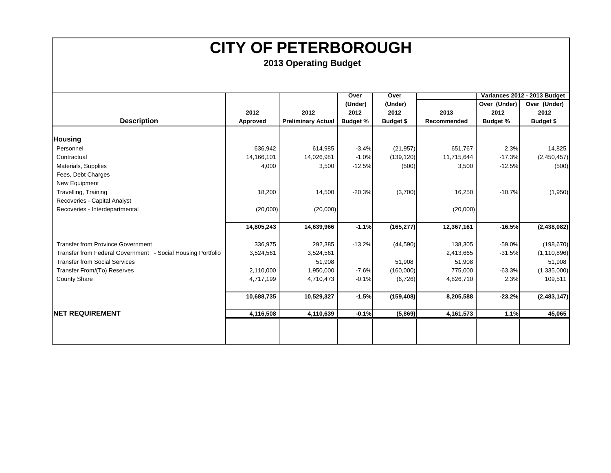|                                                             |            |                           | Over            | Over       |             |                 | Variances 2012 - 2013 Budget |
|-------------------------------------------------------------|------------|---------------------------|-----------------|------------|-------------|-----------------|------------------------------|
|                                                             |            |                           | (Under)         | (Under)    |             | Over (Under)    | Over (Under)                 |
|                                                             | 2012       | 2012                      | 2012            | 2012       | 2013        | 2012            | 2012                         |
| <b>Description</b>                                          | Approved   | <b>Preliminary Actual</b> | <b>Budget %</b> | Budget \$  | Recommended | <b>Budget %</b> | <b>Budget \$</b>             |
|                                                             |            |                           |                 |            |             |                 |                              |
| <b>Housing</b>                                              |            |                           |                 |            |             |                 |                              |
| Personnel                                                   | 636,942    | 614,985                   | $-3.4%$         | (21, 957)  | 651,767     | 2.3%            | 14,825                       |
| Contractual                                                 | 14,166,101 | 14,026,981                | $-1.0%$         | (139, 120) | 11,715,644  | $-17.3%$        | (2,450,457)                  |
| Materials, Supplies                                         | 4,000      | 3,500                     | $-12.5%$        | (500)      | 3,500       | $-12.5%$        | (500)                        |
| Fees, Debt Charges                                          |            |                           |                 |            |             |                 |                              |
| New Equipment                                               |            |                           |                 |            |             |                 |                              |
| Travelling, Training                                        | 18,200     | 14,500                    | $-20.3%$        | (3,700)    | 16,250      | $-10.7%$        | (1,950)                      |
| Recoveries - Capital Analyst                                |            |                           |                 |            |             |                 |                              |
| Recoveries - Interdepartmental                              | (20,000)   | (20,000)                  |                 |            | (20,000)    |                 |                              |
|                                                             |            |                           |                 |            |             |                 |                              |
|                                                             | 14,805,243 | 14,639,966                | $-1.1%$         | (165, 277) | 12,367,161  | $-16.5%$        | (2, 438, 082)                |
| <b>Transfer from Province Government</b>                    | 336,975    | 292,385                   | $-13.2%$        | (44, 590)  | 138,305     | $-59.0%$        | (198, 670)                   |
| Transfer from Federal Government - Social Housing Portfolio | 3,524,561  | 3,524,561                 |                 |            | 2,413,665   | $-31.5%$        | (1, 110, 896)                |
| <b>Transfer from Social Services</b>                        |            | 51,908                    |                 | 51,908     | 51,908      |                 | 51,908                       |
| Transfer From/(To) Reserves                                 | 2,110,000  | 1,950,000                 | $-7.6%$         | (160,000)  | 775,000     | $-63.3%$        | (1,335,000)                  |
| <b>County Share</b>                                         | 4,717,199  | 4,710,473                 | $-0.1%$         | (6, 726)   | 4,826,710   | 2.3%            | 109,511                      |
|                                                             |            |                           |                 |            |             |                 |                              |
|                                                             | 10,688,735 | 10,529,327                | $-1.5%$         | (159, 408) | 8,205,588   | $-23.2%$        | (2,483,147)                  |
| <b>INET REQUIREMENT</b>                                     | 4,116,508  | 4,110,639                 | $-0.1%$         | (5,869)    | 4,161,573   | 1.1%            | 45,065                       |
|                                                             |            |                           |                 |            |             |                 |                              |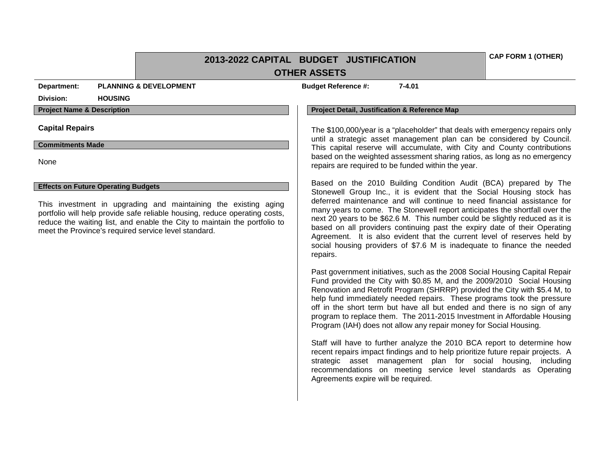### **2013-2022 CAPITAL BUDGET JUSTIFICATION OTHER ASSETS**

**Department: PLANNING & DEVELOPMENT Budget Reference #: 7-4.01**

### **Division: HOUSING**

### **Commitments Made**

None

### **Effects on Future Operating Budgets**

This investment in upgrading and maintaining the existing aging portfolio will help provide safe reliable housing, reduce operating costs, reduce the waiting list, and enable the City to maintain the portfolio to meet the Province's required service level standard.

#### **Project Name & Description Project Detail, Justification & Reference Map**

Capital Repairs **The State of the State of The S100,000/year** is a "placeholder" that deals with emergency repairs only until a strategic asset management plan can be considered by Council. This capital reserve will accumulate, with City and County contributions based on the weighted assessment sharing ratios, as long as no emergency repairs are required to be funded within the year.

> Based on the 2010 Building Condition Audit (BCA) prepared by The Stonewell Group Inc., it is evident that the Social Housing stock has deferred maintenance and will continue to need financial assistance for many years to come. The Stonewell report anticipates the shortfall over the next 20 years to be \$62.6 M. This number could be slightly reduced as it is based on all providers continuing past the expiry date of their Operating Agreement. It is also evident that the current level of reserves held by social housing providers of \$7.6 M is inadequate to finance the needed repairs.

> Past government initiatives, such as the 2008 Social Housing Capital Repair Fund provided the City with \$0.85 M, and the 2009/2010 Social Housing Renovation and Retrofit Program (SHRRP) provided the City with \$5.4 M, to help fund immediately needed repairs. These programs took the pressure off in the short term but have all but ended and there is no sign of any program to replace them. The 2011-2015 Investment in Affordable Housing Program (IAH) does not allow any repair money for Social Housing.

> Staff will have to further analyze the 2010 BCA report to determine how recent repairs impact findings and to help prioritize future repair projects. A strategic asset management plan for social housing, including recommendations on meeting service level standards as Operating Agreements expire will be required.

**CAP FORM 1 (OTHER)**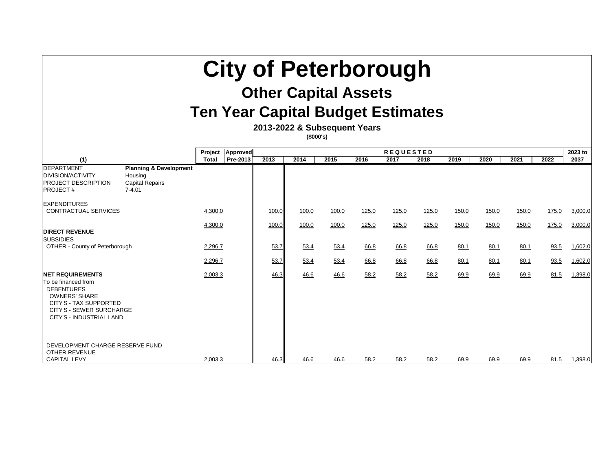| <b>City of Peterborough</b><br><b>Other Capital Assets</b><br><b>Ten Year Capital Budget Estimates</b><br>2013-2022 & Subsequent Years<br>(\$000's)                                   |                                                                                      |              |          |       |       |       |       |                  |       |       |       |       |       |         |
|---------------------------------------------------------------------------------------------------------------------------------------------------------------------------------------|--------------------------------------------------------------------------------------|--------------|----------|-------|-------|-------|-------|------------------|-------|-------|-------|-------|-------|---------|
|                                                                                                                                                                                       |                                                                                      | Project      | Approved |       |       |       |       | <b>REQUESTED</b> |       |       |       |       |       | 2023 to |
| (1)                                                                                                                                                                                   |                                                                                      | <b>Total</b> | Pre-2013 | 2013  | 2014  | 2015  | 2016  | 2017             | 2018  | 2019  | 2020  | 2021  | 2022  | 2037    |
| <b>DEPARTMENT</b><br><b>DIVISION/ACTIVITY</b><br><b>PROJECT DESCRIPTION</b><br><b>PROJECT#</b>                                                                                        | <b>Planning &amp; Development</b><br>Housing<br><b>Capital Repairs</b><br>$7 - 4.01$ |              |          |       |       |       |       |                  |       |       |       |       |       |         |
| <b>EXPENDITURES</b><br>CONTRACTUAL SERVICES                                                                                                                                           |                                                                                      | 4,300.0      |          | 100.0 | 100.0 | 100.0 | 125.0 | 125.0            | 125.0 | 150.0 | 150.0 | 150.0 | 175.0 | 3,000.0 |
| <b>DIRECT REVENUE</b><br><b>SUBSIDIES</b>                                                                                                                                             |                                                                                      | 4,300.0      |          | 100.0 | 100.0 | 100.0 | 125.0 | 125.0            | 125.0 | 150.0 | 150.0 | 150.0 | 175.0 | 3,000.0 |
| OTHER - County of Peterborough                                                                                                                                                        |                                                                                      | 2,296.7      |          | 53.7  | 53.4  | 53.4  | 66.8  | 66.8             | 66.8  | 80.1  | 80.1  | 80.1  | 93.5  | 1,602.0 |
|                                                                                                                                                                                       |                                                                                      | 2,296.7      |          | 53.7  | 53.4  | 53.4  | 66.8  | 66.8             | 66.8  | 80.1  | 80.1  | 80.1  | 93.5  | 1,602.0 |
| <b>INET REQUIREMENTS</b><br>To be financed from<br><b>DEBENTURES</b><br><b>OWNERS' SHARE</b><br>CITY'S - TAX SUPPORTED<br><b>CITY'S - SEWER SURCHARGE</b><br>CITY'S - INDUSTRIAL LAND |                                                                                      | 2,003.3      |          | 46.3  | 46.6  | 46.6  | 58.2  | 58.2             | 58.2  | 69.9  | 69.9  | 69.9  | 81.5  | 1,398.0 |
| DEVELOPMENT CHARGE RESERVE FUND<br><b>OTHER REVENUE</b><br><b>CAPITAL LEVY</b>                                                                                                        |                                                                                      | 2,003.3      |          | 46.3  | 46.6  | 46.6  | 58.2  | 58.2             | 58.2  | 69.9  | 69.9  | 69.9  | 81.5  | 1,398.0 |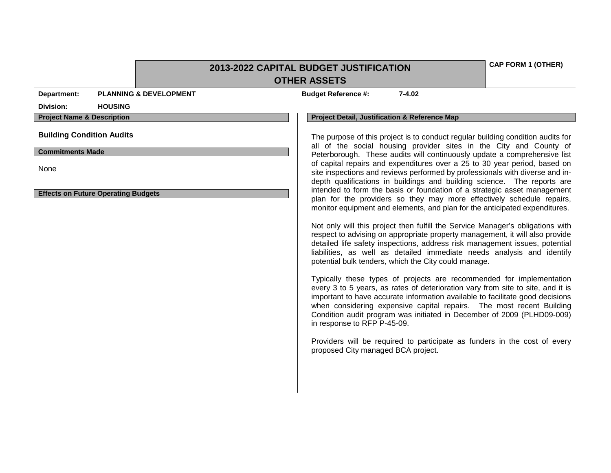|                                            | 2013-2022 CAPITAL BUDGET JUSTIFICATION | <b>CAP FORM 1 (OTHER)</b>                                                                                                                                                                                                                                                                                                                                                                                                 |  |
|--------------------------------------------|----------------------------------------|---------------------------------------------------------------------------------------------------------------------------------------------------------------------------------------------------------------------------------------------------------------------------------------------------------------------------------------------------------------------------------------------------------------------------|--|
|                                            |                                        | <b>OTHER ASSETS</b>                                                                                                                                                                                                                                                                                                                                                                                                       |  |
| Department:                                | <b>PLANNING &amp; DEVELOPMENT</b>      | <b>Budget Reference #:</b><br>$7 - 4.02$                                                                                                                                                                                                                                                                                                                                                                                  |  |
| <b>HOUSING</b><br>Division:                |                                        |                                                                                                                                                                                                                                                                                                                                                                                                                           |  |
| <b>Project Name &amp; Description</b>      |                                        | <b>Project Detail, Justification &amp; Reference Map</b>                                                                                                                                                                                                                                                                                                                                                                  |  |
| <b>Building Condition Audits</b>           |                                        | The purpose of this project is to conduct regular building condition audits for<br>all of the social housing provider sites in the City and County of                                                                                                                                                                                                                                                                     |  |
| <b>Commitments Made</b>                    |                                        | Peterborough. These audits will continuously update a comprehensive list                                                                                                                                                                                                                                                                                                                                                  |  |
| None                                       |                                        | of capital repairs and expenditures over a 25 to 30 year period, based on<br>site inspections and reviews performed by professionals with diverse and in-<br>depth qualifications in buildings and building science. The reports are<br>intended to form the basis or foundation of a strategic asset management                                                                                                          |  |
| <b>Effects on Future Operating Budgets</b> |                                        | plan for the providers so they may more effectively schedule repairs,<br>monitor equipment and elements, and plan for the anticipated expenditures.                                                                                                                                                                                                                                                                       |  |
|                                            |                                        | Not only will this project then fulfill the Service Manager's obligations with<br>respect to advising on appropriate property management, it will also provide<br>detailed life safety inspections, address risk management issues, potential<br>liabilities, as well as detailed immediate needs analysis and identify<br>potential bulk tenders, which the City could manage.                                           |  |
|                                            |                                        | Typically these types of projects are recommended for implementation<br>every 3 to 5 years, as rates of deterioration vary from site to site, and it is<br>important to have accurate information available to facilitate good decisions<br>when considering expensive capital repairs. The most recent Building<br>Condition audit program was initiated in December of 2009 (PLHD09-009)<br>in response to RFP P-45-09. |  |
|                                            |                                        | Providers will be required to participate as funders in the cost of every<br>proposed City managed BCA project.                                                                                                                                                                                                                                                                                                           |  |
|                                            |                                        |                                                                                                                                                                                                                                                                                                                                                                                                                           |  |